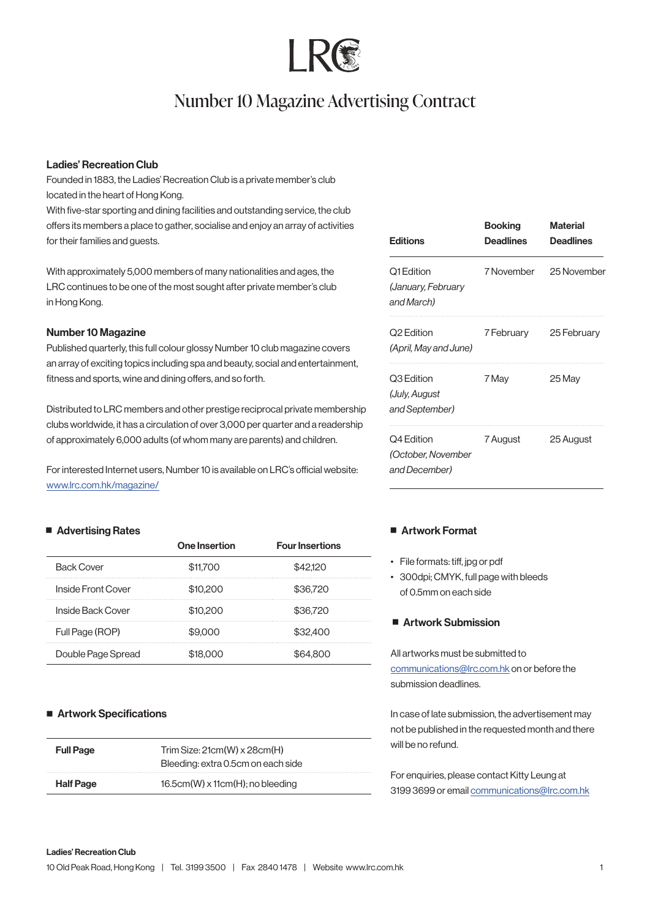# Number 10 Magazine Advertising Contract

# Ladies' Recreation Club

Founded in 1883, the Ladies' Recreation Club is a private member's club located in the heart of Hong Kong.

With five-star sporting and dining facilities and outstanding service, the club offers its members a place to gather, socialise and enjoy an array of activities for their families and guests.

With approximately 5,000 members of many nationalities and ages, the LRC continues to be one of the most sought after private member's club in Hong Kong.

# Number 10 Magazine

Published quarterly, this full colour glossy Number 10 club magazine covers an array of exciting topics including spa and beauty, social and entertainment, fitness and sports, wine and dining offers, and so forth.

Distributed to LRC members and other prestige reciprocal private membership clubs worldwide, it has a circulation of over 3,000 per quarter and a readership of approximately 6,000 adults (of whom many are parents) and children.

For interested Internet users, Number 10 is available on LRC's official website: [www.lrc.com.hk/magazine/](http://www.lrc.com.hk/magazine/)

# ■ Advertising Rates

|                    | One Insertion | <b>Four Insertions</b> |
|--------------------|---------------|------------------------|
| <b>Back Cover</b>  | \$11,700      | \$42.120               |
| Inside Front Cover | \$10,200      | \$36,720               |
| Inside Back Cover  | \$10,200      | \$36,720               |
| Full Page (ROP)    | \$9,000       | \$32,400               |
| Double Page Spread | \$18,000      |                        |

# ■ Artwork Specifications

| <b>Full Page</b> | Trim Size: $21cm(W) \times 28cm(H)$<br>Bleeding: extra 0.5cm on each side |
|------------------|---------------------------------------------------------------------------|
| <b>Half Page</b> | $16.5cm(W) \times 11cm(H)$ ; no bleeding                                  |

| <b>Editions</b>                                   | <b>Booking</b><br>Deadlines | <b>Material</b><br>Deadlines |
|---------------------------------------------------|-----------------------------|------------------------------|
| Q1 Edition<br>(January, February<br>and March)    | 7 November                  | 25 November                  |
| Q2 Edition<br>(April, May and June)               | 7 February                  | 25 February                  |
| Q3 Edition<br>(July, August<br>and September)     | 7 May                       | 25 May                       |
| Q4 Edition<br>(October, November<br>and December) | 7 August                    | 25 August                    |

# ■ Artwork Format

- File formats: tiff, jpg or pdf
- 300dpi; CMYK, full page with bleeds of 0.5mm on each side

# ■ Artwork Submission

All artworks must be submitted to [communications@lrc.com.hk](mailto:communications%40lrc.com.hk?subject=Enquiries%3A%20) on or before the submission deadlines.

In case of late submission, the advertisement may not be published in the requested month and there will be no refund.

For enquiries, please contact Kitty Leung at 3199 3699 or email [communications@lrc.com.hk](mailto:communications%40lrc.com.hk?subject=)

### Ladies' Recreation Club